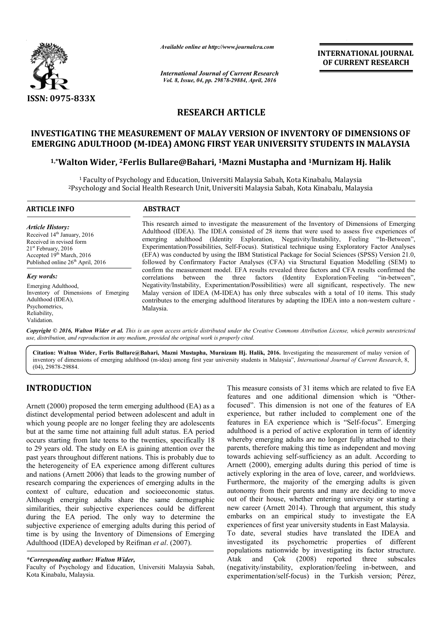

*Available online at http://www.journalcra.com*

*International Journal of Current Research Vol. 8, Issue, 04, pp. 29878-29884, April, 2016*

**INTERNATIONAL JOURNAL OF CURRENT RESEARCH** 

## **RESEARCH ARTICLE**

# **INVESTIGATING THE MEASUREMENT OF MALAY VERSION OF INVENTORY OF DIMENSIONS OF**

## **EMERGING ADULTHOOD (M-IDEA) AMONG FIRST YEAR UNIVERSITY STUDENTS IN MALAYSIA**<br><sup>1,\*</sup>Walton Wider, <sup>2</sup>Ferlis Bullare@Bahari, <sup>1</sup>Mazni Mustapha and <sup>1</sup>Murnizam Hj. Halik **1,\*Walton Wider, 2Ferlis Bul rlis Bullare@Bahari, 1Mazni Mustapha and 1Murni**

 $^{\rm 1}$ Faculty of Psychology and Education, Universiti Malaysia Sabah, Kota Kinabalu, Malaysia <sup>1</sup> Faculty of Psychology and Education, Universiti Malaysia Sabah, Kota Kinabalu, Malaysia<br>Psychology and Social Health Research Unit, Universiti Malaysia Sabah, Kota Kinabalu, Malaysia

| <b>ARTICLE INFO</b>                                                                                                                                                                                      | <b>ABSTRACT</b>                                                                                                                                                                                                                                                                                                                                                                                                                                                                                                                                                                                    |  |  |  |  |
|----------------------------------------------------------------------------------------------------------------------------------------------------------------------------------------------------------|----------------------------------------------------------------------------------------------------------------------------------------------------------------------------------------------------------------------------------------------------------------------------------------------------------------------------------------------------------------------------------------------------------------------------------------------------------------------------------------------------------------------------------------------------------------------------------------------------|--|--|--|--|
| <b>Article History:</b><br>Received 14 <sup>th</sup> January, 2016<br>Received in revised form<br>$21st$ February, 2016<br>Accepted $19th March$ , 2016<br>Published online 26 <sup>th</sup> April, 2016 | This research aimed to investigate the measurement of the Inventory of Dimensions of Emerging<br>Adulthood (IDEA). The IDEA consisted of 28 items that were used to assess five experiences of<br>emerging adulthood (Identity Exploration, Negativity/Instability, Feeling "In-Between",<br>Experimentation/Possibilities, Self-Focus). Statistical technique using Exploratory Factor Analyses<br>(EFA) was conducted by using the IBM Statistical Package for Social Sciences (SPSS) Version 21.0,<br>followed by Confirmatory Factor Analyses (CFA) via Structural Equation Modelling (SEM) to |  |  |  |  |
| Key words:                                                                                                                                                                                               | confirm the measurement model. EFA results revealed three factors and CFA results confirmed the<br>correlations between the three factors (Identity Exploration/Feeling "in-between",                                                                                                                                                                                                                                                                                                                                                                                                              |  |  |  |  |
| Emerging Adulthood,<br>Inventory of Dimensions of Emerging<br>Adulthood (IDEA),<br>Psychometrics.<br>Reliability,                                                                                        | Negativity/Instability, Experimentation/Possibilities) were all significant, respectively. The new<br>Malay version of IDEA (M-IDEA) has only three subscales with a total of 10 items. This study<br>contributes to the emerging adulthood literatures by adapting the IDEA into a non-western culture -<br>Malaysia.                                                                                                                                                                                                                                                                             |  |  |  |  |

Copyright © 2016, Walton Wider et al. This is an open access article distributed under the Creative Commons Attribution License, which permits unrestrictea *use, distribution, and reproduction in any medium, provided the original work is properly cited.*

Citation: Walton Wider, Ferlis Bullare@Bahari, Mazni Mustapha, Murnizam Hj. Halik, 2016. Investigating the measurement of malay version of inventory of dimensions of emerging adulthood (m-idea) among first year university students in Malaysia", *International Journal of Current Research*, 8, (04), 29878-29884.

## **INTRODUCTION**

Validation.

Arnett (2000) proposed the term emerging adulthood (EA) as a distinct developmental period between adolescent and adult in which young people are no longer feeling they are adolescents but at the same time not attaining full adult status. EA period occurs starting from late teens to the twenties, specifically 18 to 29 years old. The study on EA is gaining attention over the past years throughout different nations. This is probably due to the heterogeneity of EA experience among different cultures and nations (Arnett 2006) that leads to the growing number of research comparing the experiences of emerging adults in the context of culture, education and socioeconomic status. Although emerging adults share the same demographic similarities, their subjective experiences could be different during the EA period. The only way to determine the subjective experience of emerging adults during this period of time is by using the Inventory of Dimensions of Emerging Adulthood (IDEA) developed by Reifman *et al* s (Arnett 2006) that leads to the growing nu<br>omparing the experiences of emerging adult<br>f culture, education and socioeconomic<br>emerging adults share the same demo<br>is, their subjective experiences could be c<br>e EA period. T

#### *\*Corresponding author: Walton Wider,*

Faculty of Psychology and Education, Universiti Malaysia Sabah, Kota Kinabalu, Malaysia.

This measure consists of 31 items which are related to five EA features and one additional dimension which is "Otherfocused". This dimension is not one of the features of EA experience, but rather included to complement one of the features in EA experience which is "Self-focus". Emerging adulthood is a period of active exploration in term of identity adulthood is a period of active exploration in term of identity<br>whereby emerging adults are no longer fully attached to their parents, therefore making this time as independent and moving towards achieving self-sufficiency as an adult. According to towards achieving self-sufficiency as an adult. According to Arnett (2000), emerging adults during this period of time is actively exploring in the area of love, career, and worldviews. Furthermore, the majority of the emerging adults is given autonomy from their parents and many are deciding to move out of their house, whether entering university or starting a new career (Arnett 2014). Through that argument, this study embarks on an empirical study to investigate the EA experiences of first year university students in East Malaysia. To date, several studies have translated the IDEA and investigated its psychometric properties of different populations nationwide by investigating its factor structure. Atak and Çok (2008) reported three subscales (negativity/instability, exploration/feeling in experimentation/self-focus) in the Turkish version; Pérez, This dimension is not one of the features of EA<br>ce, but rather included to complement one of the<br>in EA experience which is "Self-focus". Emerging autonomy from their parents and many are deciding to move<br>out of their house, whether entering university or starting a<br>new career (Arnett 2014). Through that argument, this study on an empirical study to investigate the EA<br>ss of first year university students in East Malaysia.<br>several studies have translated the IDEA and<br>ed its psychometric properties of different<br>is nationwide by investigating its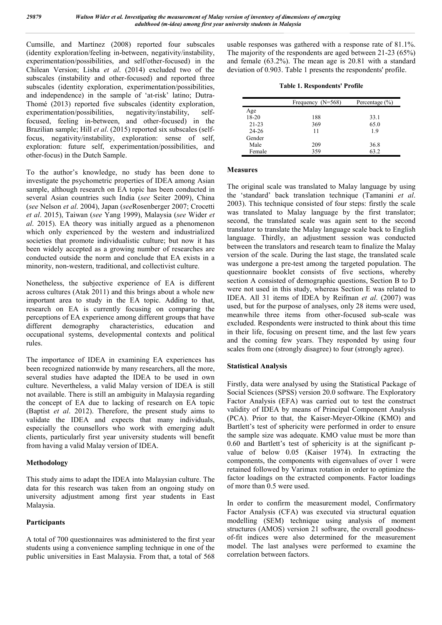Cumsille, and Martínez (2008) reported four subscales (identity exploration/feeling in-between, negativity/instability, experimentation/possibilities, and self/other-focused) in the Chilean Version; Lisha *et al*. (2014) excluded two of the subscales (instability and other-focused) and reported three subscales (identity exploration, experimentation/possibilities, and independence) in the sample of 'at-risk' latino; Dutra-Thomé (2013) reported five subscales (identity exploration, experimentation/possibilities, negativity/instability, selffocused, feeling in-between, and other-focused) in the Brazilian sample; Hill *et al*. (2015) reported six subscales (selffocus, negativity/instability, exploration: sense of self, exploration: future self, experimentation/possibilities, and other-focus) in the Dutch Sample.

To the author's knowledge, no study has been done to investigate the psychometric properties of IDEA among Asian sample, although research on EA topic has been conducted in several Asian countries such India (*see* Seiter 2009), China (*see* Nelson *et al*. 2004), Japan (*see*Rosenberger 2007; Crocetti *et al*. 2015), Taiwan (*see* Yang 1999), Malaysia (*see* Wider *et al*. 2015). EA theory was initially argued as a phenomenon which only experienced by the western and industrialized societies that promote individualistic culture; but now it has been widely accepted as a growing number of researches are conducted outside the norm and conclude that EA exists in a minority, non-western, traditional, and collectivist culture.

Nonetheless, the subjective experience of EA is different across cultures (Atak 2011) and this brings about a whole new important area to study in the EA topic. Adding to that, research on EA is currently focusing on comparing the perceptions of EA experience among different groups that have different demography characteristics, education and occupational systems, developmental contexts and political rules.

The importance of IDEA in examining EA experiences has been recognized nationwide by many researchers, all the more, several studies have adapted the IDEA to be used in own culture. Nevertheless, a valid Malay version of IDEA is still not available. There is still an ambiguity in Malaysia regarding the concept of EA due to lacking of research on EA topic (Baptist *et al*. 2012). Therefore, the present study aims to validate the IDEA and expects that many individuals, especially the counsellors who work with emerging adult clients, particularly first year university students will benefit from having a valid Malay version of IDEA.

## **Methodology**

This study aims to adapt the IDEA into Malaysian culture. The data for this research was taken from an ongoing study on university adjustment among first year students in East Malaysia.

## **Participants**

A total of 700 questionnaires was administered to the first year students using a convenience sampling technique in one of the public universities in East Malaysia. From that, a total of 568

usable responses was gathered with a response rate of 81.1%. The majority of the respondents are aged between 21-23 (65%) and female (63.2%). The mean age is 20.81 with a standard deviation of 0.903. Table 1 presents the respondents' profile.

|  |  | <b>Table 1. Respondents' Profile</b> |  |  |
|--|--|--------------------------------------|--|--|
|--|--|--------------------------------------|--|--|

|           | Frequency $(N=568)$ | Percentage $(\% )$ |  |  |
|-----------|---------------------|--------------------|--|--|
| Age       |                     |                    |  |  |
| $18-20$   | 188                 | 33.1               |  |  |
| $21 - 23$ | 369                 | 65.0               |  |  |
| 24-26     | 11                  | 19                 |  |  |
| Gender    |                     |                    |  |  |
| Male      | 209                 | 36.8               |  |  |
| Female    | 359                 | 63.2               |  |  |

### **Measures**

The original scale was translated to Malay language by using the 'standard' back translation technique (Tamanini *et al*. 2003). This technique consisted of four steps: firstly the scale was translated to Malay language by the first translator; second, the translated scale was again sent to the second translator to translate the Malay language scale back to English language. Thirdly, an adjustment session was conducted between the translators and research team to finalize the Malay version of the scale. During the last stage, the translated scale was undergone a pre-test among the targeted population. The questionnaire booklet consists of five sections, whereby section A consisted of demographic questions, Section B to D were not used in this study, whereas Section E was related to IDEA. All 31 items of IDEA by Reifman *et al*. (2007) was used, but for the purpose of analyses, only 28 items were used, meanwhile three items from other-focused sub-scale was excluded. Respondents were instructed to think about this time in their life, focusing on present time, and the last few years and the coming few years. They responded by using four scales from one (strongly disagree) to four (strongly agree).

## **Statistical Analysis**

Firstly, data were analysed by using the Statistical Package of Social Sciences (SPSS) version 20.0 software. The Exploratory Factor Analysis (EFA) was carried out to test the construct validity of IDEA by means of Principal Component Analysis (PCA). Prior to that, the Kaiser-Meyer-Olkine (KMO) and Bartlett's test of sphericity were performed in order to ensure the sample size was adequate. KMO value must be more than 0.60 and Bartlett's test of sphericity is at the significant pvalue of below 0.05 (Kaiser 1974). In extracting the components, the components with eigenvalues of over 1 were retained followed by Varimax rotation in order to optimize the factor loadings on the extracted components. Factor loadings of more than 0.5 were used.

In order to confirm the measurement model, Confirmatory Factor Analysis (CFA) was executed via structural equation modelling (SEM) technique using analysis of moment structures (AMOS) version 21 software, the overall goodnessof-fit indices were also determined for the measurement model. The last analyses were performed to examine the correlation between factors.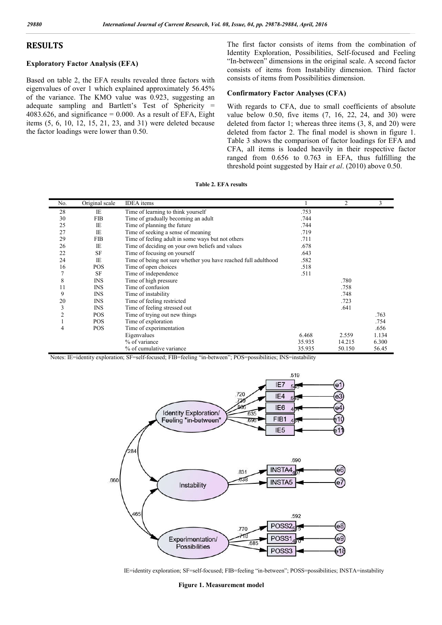## **RESULTS**

## **Exploratory Factor Analysis (EFA)**

Based on table 2, the EFA results revealed three factors with eigenvalues of over 1 which explained approximately 56.45% of the variance. The KMO value was 0.923, suggesting an adequate sampling and Bartlett's Test of Sphericity =  $4083.626$ , and significance = 0.000. As a result of EFA, Eight items (5, 6, 10, 12, 15, 21, 23, and 31) were deleted because the factor loadings were lower than 0.50.

The first factor consists of items from the combination of The first factor consists of items from the combination of Identity Exploration, Possibilities, Self-focused and Feeling "In-between" dimensions in the original scale. A second factor consists of items from Instability dimension. Third factor consists of items from Possibilities d between" dimensions in the original scale.<br>sists of items from Instability dimension<br>sists of items from Possibilities dimension.

#### **Confirmatory Factor Analyses (CFA)**

With regards to CFA, due to small coefficients of absolute value below 0.50, five items (7, 16, 22, 24, and 30) were deleted from factor 1; whereas three items (3, 8, and 20) were deleted from factor 2. The final model is shown in figure 1. Table 3 shows the comparison of factor loadings for EFA and CFA, all items is loaded heavily in their respective factor ranged from 0.656 to 0.763 in EFA, thus fulfilling the threshold point suggested by Hair *et al*. (2010) above 0.50. With regards to CFA, due to small coefficients of absolute value below 0.50, five items  $(7, 16, 22, 24,$  and 30) were deleted from factor 1; whereas three items  $(3, 8,$  and  $20)$  were deleted from factor 2. The final mo

| No. | Original scale | <b>IDEA</b> items                                              |        | $\overline{c}$ | 3     |
|-----|----------------|----------------------------------------------------------------|--------|----------------|-------|
| 28  | IE             | Time of learning to think yourself                             | .753   |                |       |
| 30  | <b>FIB</b>     | Time of gradually becoming an adult                            | .744   |                |       |
| 25  | <b>IE</b>      | Time of planning the future                                    | .744   |                |       |
| 27  | IE             | Time of seeking a sense of meaning                             | .719   |                |       |
| 29  | <b>FIB</b>     | Time of feeling adult in some ways but not others              | .711   |                |       |
| 26  | IE             | Time of deciding on your own beliefs and values                | .678   |                |       |
| 22  | <b>SF</b>      | Time of focusing on yourself                                   | .643   |                |       |
| 24  | <b>IE</b>      | Time of being not sure whether you have reached full adulthood | .582   |                |       |
| 16  | POS            | Time of open choices                                           | .518   |                |       |
| 7   | <b>SF</b>      | Time of independence                                           | .511   |                |       |
| 8   | <b>INS</b>     | Time of high pressure                                          |        | .780           |       |
| 11  | <b>INS</b>     | Time of confusion                                              |        | .758           |       |
| 9   | <b>INS</b>     | Time of instability                                            |        | .748           |       |
| 20  | <b>INS</b>     | Time of feeling restricted                                     |        | .723           |       |
| 3   | <b>INS</b>     | Time of feeling stressed out                                   |        | .641           |       |
| 2   | <b>POS</b>     | Time of trying out new things                                  |        |                | .763  |
|     | <b>POS</b>     | Time of exploration                                            |        |                | .754  |
| 4   | POS            | Time of experimentation                                        |        |                | .656  |
|     |                | Eigenvalues                                                    | 6.468  | 2.559          | 1.134 |
|     |                | % of variance                                                  | 35.935 | 14.215         | 6.300 |
|     |                | % of cumulative variance                                       | 35.935 | 50.150         | 56.45 |

**Table 2. EFA results**

Notes: IE=identity exploration; SF=self-focused; FIB=feeling "in-between"; POS=possibilities; INS=instability



IE=identity exploration; SF=self-focused; FIB=feeling "in-between"; POSS=possibilities; INSTA=instability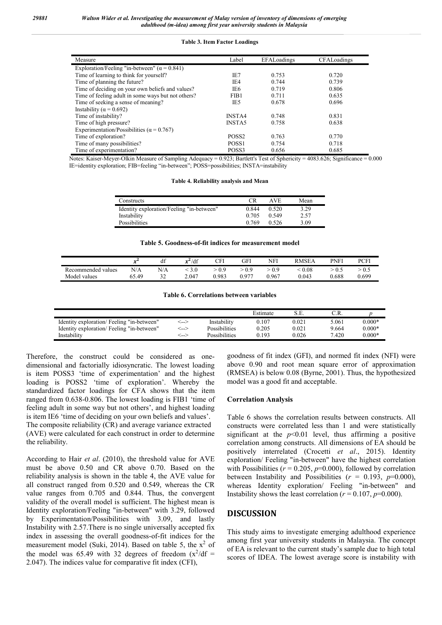#### **Table 3. Item Factor Loadings**

| Measure                                              | Label             | EFALoadings | CFALoadings |
|------------------------------------------------------|-------------------|-------------|-------------|
| Exploration/Feeling "in-between" ( $\alpha$ = 0.841) |                   |             |             |
| Time of learning to think for yourself?              | IE7               | 0.753       | 0.720       |
| Time of planning the future?                         | IE <sub>4</sub>   | 0.744       | 0.739       |
| Time of deciding on your own beliefs and values?     | IE6               | 0.719       | 0.806       |
| Time of feeling adult in some ways but not others?   | FIB1              | 0.711       | 0.635       |
| Time of seeking a sense of meaning?                  | IE5               | 0.678       | 0.696       |
| Instability ( $\alpha$ = 0.692)                      |                   |             |             |
| Time of instability?                                 | <b>INSTA4</b>     | 0.748       | 0.831       |
| Time of high pressure?                               | <b>INSTA5</b>     | 0.758       | 0.638       |
| Experimentation/Possibilities ( $\alpha$ = 0.767)    |                   |             |             |
| Time of exploration?                                 | POSS <sub>2</sub> | 0.763       | 0.770       |
| Time of many possibilities?                          | POSS <sub>1</sub> | 0.754       | 0.718       |
| Time of experimentation?                             | POSS3             | 0.656       | 0.685       |

Notes: Kaiser-Meyer-Olkin Measure of Sampling Adequacy = 0.923; Bartlett's Test of Sphericity = 4083.626; Significance = 0.000 IE=identity exploration; FIB=feeling "in-between"; POSS=possibilities; INSTA=instability

#### **Table 4. Reliability analysis and Mean**

| Constructs                                | CR    | AVE.  | Mean |
|-------------------------------------------|-------|-------|------|
| Identity exploration/Feeling "in-between" | 0.844 | 0.520 | 3.29 |
| Instability                               | 0.705 | 0.549 | 2.57 |
| Possibilities                             | 0.769 | 0.526 | 3.09 |

#### **Table 5. Goodness-of-fit indices for measurement model**

|                    | $-4$<br>∼ | df        | $x^2$ /df     | CFI   | GFI   | NFI   | <b>RMSEA</b> | PNF!  | PCFI  |
|--------------------|-----------|-----------|---------------|-------|-------|-------|--------------|-------|-------|
| Recommended values | N/A       | N/A       | $3.0^{\circ}$ | > 0.9 | 0.9   | 0.9   | 0.08         | 0.5   | - U.S |
| Model values       | 65.49     | າາ<br>ے ر | 2.047         | 0.983 | 0.977 | 0.967 | 0.043        | 0.688 | 0.699 |
|                    |           |           |               |       |       |       |              |       |       |

#### **Table 6. Correlations between variables**

|                                            |      |               | Estimate |       |       |          |
|--------------------------------------------|------|---------------|----------|-------|-------|----------|
| Identity exploration/ Feeling "in-between" | <--> | Instability   | 0.107    | 0.021 | 5.061 | $0.000*$ |
| Identity exploration/ Feeling "in-between" | <--> | Possibilities | 0.205    | 0.021 | 9.664 | $0.000*$ |
| Instability                                | <--> | Possibilities | 0.193    | 0.026 | 7.420 | $0.000*$ |

Therefore, the construct could be considered as onedimensional and factorially idiosyncratic. The lowest loading is item POSS3 'time of experimentation' and the highest loading is POSS2 'time of exploration'. Whereby the standardized factor loadings for CFA shows that the item ranged from 0.638-0.806. The lowest loading is FIB1 'time of feeling adult in some way but not others', and highest loading is item IE6 'time of deciding on your own beliefs and values'. The composite reliability (CR) and average variance extracted (AVE) were calculated for each construct in order to determine the reliability.

According to Hair *et al*. (2010), the threshold value for AVE must be above 0.50 and CR above 0.70. Based on the reliability analysis is shown in the table 4, the AVE value for all construct ranged from 0.520 and 0.549, whereas the CR value ranges from 0.705 and 0.844. Thus, the convergent validity of the overall model is sufficient. The highest mean is Identity exploration/Feeling "in-between" with 3.29, followed by Experimentation/Possibilities with 3.09, and lastly Instability with 2.57.There is no single universally accepted fix index in assessing the overall goodness-of-fit indices for the measurement model (Suki, 2014). Based on table 5, the  $x^2$  of the model was 65.49 with 32 degrees of freedom  $(x^2/df =$ 2.047). The indices value for comparative fit index (CFI),

goodness of fit index (GFI), and normed fit index (NFI) were above 0.90 and root mean square error of approximation (RMSEA) is below 0.08 (Byrne, 2001). Thus, the hypothesized model was a good fit and acceptable.

#### **Correlation Analysis**

Table 6 shows the correlation results between constructs. All constructs were correlated less than 1 and were statistically significant at the  $p<0.01$  level, thus affirming a positive correlation among constructs. All dimensions of EA should be positively interrelated (Crocetti *et al*., 2015). Identity exploration/ Feeling "in-between" have the highest correlation with Possibilities ( $r = 0.205$ ,  $p=0.000$ ), followed by correlation between Instability and Possibilities ( $r = 0.193$ ,  $p=0.000$ ), whereas Identity exploration/ Feeling "in-between" and Instability shows the least correlation ( $r = 0.107$ ,  $p=0.000$ ).

## **DISCUSSION**

This study aims to investigate emerging adulthood experience among first year university students in Malaysia. The concept of EA is relevant to the current study's sample due to high total scores of IDEA. The lowest average score is instability with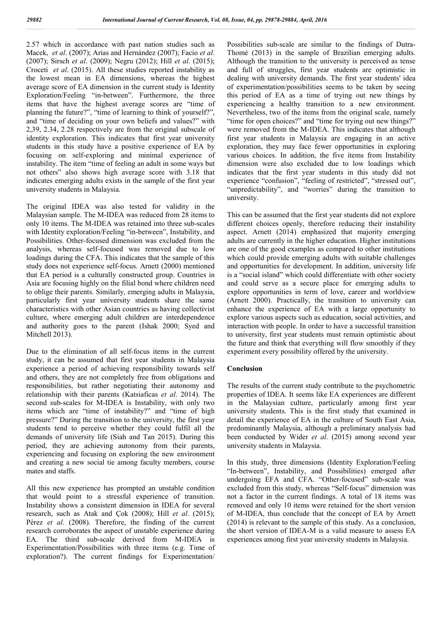2.57 which in accordance with past nation studies such as Macek, *et al*. (2007); Arias and Hernández (2007); Facio *et al*. (2007); Sirsch *et al*. (2009); Negru (2012); Hill *et al*. (2015); Croceti *et al*. (2015). All these studies reported instability as the lowest mean in EA dimensions, whereas the highest average score of EA dimension in the current study is Identity Exploration/Feeling "in-between". Furthermore, the three items that have the highest average scores are "time of planning the future?", "time of learning to think of yourself?", and "time of deciding on your own beliefs and values?" with 2,39, 2.34, 2.28 respectively are from the original subscale of identity exploration. This indicates that first year university students in this study have a positive experience of EA by focusing on self-exploring and minimal experience of instability. The item "time of feeling an adult in some ways but not others" also shows high average score with 3.18 that indicates emerging adults exists in the sample of the first year university students in Malaysia.

The original IDEA was also tested for validity in the Malaysian sample. The M-IDEA was reduced from 28 items to only 10 items. The M-IDEA was retained into three sub-scales with Identity exploration/Feeling "in-between", Instability, and Possibilities. Other-focused dimension was excluded from the analysis, whereas self-focused was removed due to low loadings during the CFA. This indicates that the sample of this study does not experience self-focus. Arnett (2000) mentioned that EA period is a culturally constructed group. Countries in Asia are focusing highly on the filial bond where children need to oblige their parents. Similarly, emerging adults in Malaysia, particularly first year university students share the same characteristics with other Asian countries as having collectivist culture, where emerging adult children are interdependence and authority goes to the parent (Ishak 2000; Syed and Mitchell 2013).

Due to the elimination of all self-focus items in the current study, it can be assumed that first year students in Malaysia experience a period of achieving responsibility towards self and others, they are not completely free from obligations and responsibilities, but rather negotiating their autonomy and relationship with their parents (Katsiaficas *et al*. 2014). The second sub-scales for M-IDEA is Instability, with only two items which are "time of instability?" and "time of high pressure?" During the transition to the university, the first year students tend to perceive whether they could fulfil all the demands of university life (Siah and Tan 2015). During this period, they are achieving autonomy from their parents, experiencing and focusing on exploring the new environment and creating a new social tie among faculty members, course mates and staffs.

All this new experience has prompted an unstable condition that would point to a stressful experience of transition. Instability shows a consistent dimension in IDEA for several research, such as Atak and Çok (2008); Hill *et al*. (2015); Pérez *et al*. (2008). Therefore, the finding of the current research corroborates the aspect of unstable experience during EA. The third sub-scale derived from M-IDEA is Experimentation/Possibilities with three items (e.g. Time of exploration?). The current findings for Experimentation/

Possibilities sub-scale are similar to the findings of Dutra-Thomé (2013) in the sample of Brazilian emerging adults. Although the transition to the university is perceived as tense and full of struggles, first year students are optimistic in dealing with university demands. The first year students' idea of experimentation/possibilities seems to be taken by seeing this period of EA as a time of trying out new things by experiencing a healthy transition to a new environment. Nevertheless, two of the items from the original scale, namely "time for open choices?" and "time for trying out new things?" were removed from the M-IDEA. This indicates that although first year students in Malaysia are engaging in an active exploration, they may face fewer opportunities in exploring various choices. In addition, the five items from Instability dimension were also excluded due to low loadings which indicates that the first year students in this study did not experience "confusion", "feeling of restricted", "stressed out", "unpredictability", and "worries" during the transition to university.

This can be assumed that the first year students did not explore different choices openly, therefore reducing their instability aspect. Arnett (2014) emphasized that majority emerging adults are currently in the higher education. Higher institutions are one of the good examples as compared to other institutions which could provide emerging adults with suitable challenges and opportunities for development. In addition, university life is a "social island" which could differentiate with other society and could serve as a secure place for emerging adults to explore opportunities in term of love, career and worldview (Arnett 2000). Practically, the transition to university can enhance the experience of EA with a large opportunity to explore various aspects such as education, social activities, and interaction with people. In order to have a successful transition to university, first year students must remain optimistic about the future and think that everything will flow smoothly if they experiment every possibility offered by the university.

## **Conclusion**

The results of the current study contribute to the psychometric properties of IDEA. It seems like EA experiences are different in the Malaysian culture, particularly among first year university students. This is the first study that examined in detail the experience of EA in the culture of South East Asia, predominantly Malaysia, although a preliminary analysis had been conducted by Wider *et al*. (2015) among second year university students in Malaysia.

In this study, three dimensions (Identity Exploration/Feeling "In-between", Instability, and Possibilities) emerged after undergoing EFA and CFA. "Other-focused" sub-scale was excluded from this study, whereas "Self-focus" dimension was not a factor in the current findings. A total of 18 items was removed and only 10 items were retained for the short version of M-IDEA, thus conclude that the concept of EA by Arnett (2014) is relevant to the sample of this study. As a conclusion, the short version of IDEA-M is a valid measure to assess EA experiences among first year university students in Malaysia.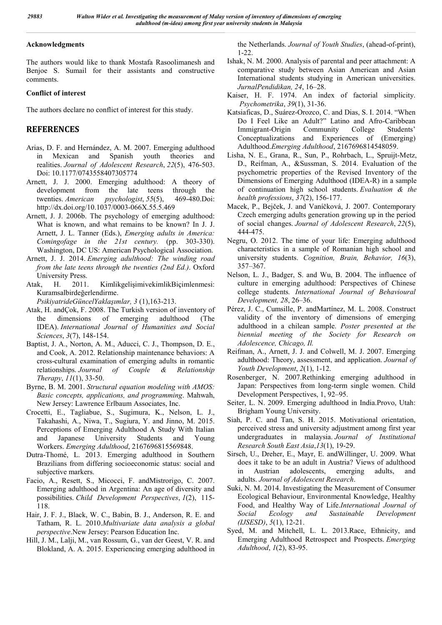## **Acknowledgments**

The authors would like to thank Mostafa Rasoolimanesh and Benjoe S. Sumail for their assistants and constructive comments.

## **Conflict of interest**

The authors declare no conflict of interest for this study.

## **REFERENCES**

- Arias, D. F. and Hernández, A. M. 2007. Emerging adulthood in Mexican and Spanish youth theories and realities. *Journal of Adolescent Research*, *22*(5), 476-503. Doi: 10.1177/0743558407305774
- Arnett, J. J. 2000. Emerging adulthood: A theory of development from the late teens through the twenties. *American psychologist*, *55*(5), 469-480.Doi: http://dx.doi.org/10.1037/0003-066X.55.5.469
- Arnett, J. J. 2006b. The psychology of emerging adulthood: What is known, and what remains to be known? In J. J. Arnett, J. L. Tanner (Eds.), *Emerging adults in America: Comingofage in the 21st century.* (pp. 303-330). Washington, DC US: American Psychological Association.
- Arnett, J. J. 2014. *Emerging adulthood: The winding road from the late teens through the twenties (2nd Ed.)*. Oxford University Press.
- Atak, H. 2011. KimlikgelişimivekimlikBiçimlenmesi: Kuramsalbirdeğerlendirme.
	- *PsikiyatrideGüncelYaklaşımlar, 3* (1),163-213.
- Atak, H. andÇok, F. 2008. The Turkish version of inventory of the dimensions of emerging adulthood (The IDEA). *International Journal of Humanities and Social Sciences*, *3*(7), 148-154.
- Baptist, J. A., Norton, A. M., Aducci, C. J., Thompson, D. E., and Cook, A. 2012. Relationship maintenance behaviors: A cross-cultural examination of emerging adults in romantic relationships. *Journal of Couple & Relationship Therapy*, *11*(1), 33-50.
- Byrne, B. M. 2001. *Structural equation modeling with AMOS: Basic concepts, applications, and programming*. Mahwah, New Jersey: Lawrence Erlbaum Associates, Inc.
- Crocetti, E., Tagliabue, S., Sugimura, K., Nelson, L. J., Takahashi, A., Niwa, T., Sugiura, Y. and Jinno, M. 2015. Perceptions of Emerging Adulthood A Study With Italian and Japanese University Students and Young Workers. *Emerging Adulthood*, 2167696815569848.
- Dutra-Thomé, L. 2013. Emerging adulthood in Southern Brazilians from differing socioeconomic status: social and subjective markers.
- Facio, A., Resett, S., Micocci, F. andMistrorigo, C. 2007. Emerging adulthood in Argentina: An age of diversity and possibilities. *Child Development Perspectives*, *1*(2), 115- 118.
- Hair, J. F. J., Black, W. C., Babin, B. J., Anderson, R. E. and Tatham, R. L. 2010.*Multivariate data analysis a global perspective*.New Jersey: Pearson Education Inc.
- Hill, J. M., Lalji, M., van Rossum, G., van der Geest, V. R. and Blokland, A. A. 2015. Experiencing emerging adulthood in

the Netherlands. *Journal of Youth Studies*, (ahead-of-print), 1-22.

- Ishak, N. M. 2000. Analysis of parental and peer attachment: A comparative study between Asian American and Asian International students studying in American universities. *JurnalPendidikan, 24*, 16–28.
- Kaiser, H. F. 1974. An index of factorial simplicity. *Psychometrika*, *39*(1), 31-36.
- Katsiaficas, D., Suárez-Orozco, C. and Dias, S. I. 2014. "When Do I Feel Like an Adult?" Latino and Afro-Caribbean Immigrant-Origin Community College Students' Conceptualizations and Experiences of (Emerging) Adulthood.*Emerging Adulthood*, 2167696814548059.
- Lisha, N. E., Grana, R., Sun, P., Rohrbach, L., Spruijt-Metz, D., Reifman, A., &Sussman, S. 2014. Evaluation of the psychometric properties of the Revised Inventory of the Dimensions of Emerging Adulthood (IDEA-R) in a sample of continuation high school students. *Evaluation & the health professions*, *37*(2), 156-177.
- Macek, P., Bejček, J. and Vaníčková, J. 2007. Contemporary Czech emerging adults generation growing up in the period of social changes. *Journal of Adolescent Research*, *22*(5), 444-475.
- Negru, O. 2012. The time of your life: Emerging adulthood characteristics in a sample of Romanian high school and university students. *Cognition, Brain, Behavior, 16*(3), 357–367.
- Nelson, L. J., Badger, S. and Wu, B. 2004. The influence of culture in emerging adulthood: Perspectives of Chinese college students*. International Journal of Behavioural Development, 28*, 26–36.
- Pérez, J. C., Cumsille, P. andMartínez, M. L. 2008. Construct validity of the inventory of dimensions of emerging adulthood in a chilean sample. *Poster presented at the biennial meeting of the Society for Research on Adolescence, Chicago, Il.*
- Reifman, A., Arnett, J. J. and Colwell, M. J. 2007. Emerging adulthood: Theory, assessment, and application. *Journal of Youth Development*, *2*(1), 1-12.
- Rosenberger, N. 2007.Rethinking emerging adulthood in Japan: Perspectives from long-term single women. Child Development Perspectives, 1, 92–95.
- Seiter, L. N. 2009. Emerging adulthood in India.Provo, Utah: Brigham Young University.
- Siah, P. C. and Tan, S. H. 2015. Motivational orientation, perceived stress and university adjustment among first year undergraduates in malaysia. *Journal of Institutional Research South East Asia*,*13*(1), 19-29.
- Sirsch, U., Dreher, E., Mayr, E. andWillinger, U. 2009. What does it take to be an adult in Austria? Views of adulthood in Austrian adolescents, emerging adults, and adults. *Journal of Adolescent Research*.
- Suki, N. M. 2014. Investigating the Measurement of Consumer Ecological Behaviour, Environmental Knowledge, Healthy Food, and Healthy Way of Life.*International Journal of Social Ecology and Sustainable Development (IJSESD)*, *5*(1), 12-21.
- Syed, M. and Mitchell, L. L. 2013.Race, Ethnicity, and Emerging Adulthood Retrospect and Prospects. *Emerging Adulthood*, *1*(2), 83-95.